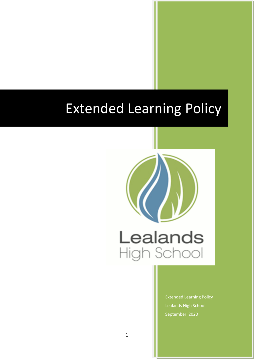# Extended Learning Policy



Extended Learning Policy Lealands High School September 2020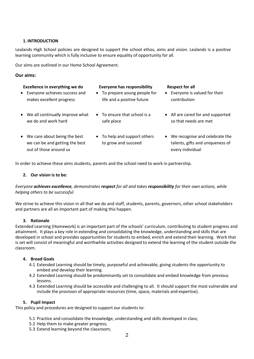## **1. INTRODUCTION**

Lealands High School policies are designed to support the school ethos, aims and vision. Lealands is a positive learning community which is fully inclusive to ensure equality of opportunity for all.

Our aims are outlined in our Home School Agreement.

## **Our aims:**

| Excellence in everything we do<br>• Everyone achieves success and<br>makes excellent progress | <b>Everyone has responsibility</b><br>• To prepare young people for<br>life and a positive future | <b>Respect for all</b><br>Everyone is valued for their<br>$\bullet$<br>contribution |
|-----------------------------------------------------------------------------------------------|---------------------------------------------------------------------------------------------------|-------------------------------------------------------------------------------------|
| • We all continually improve what<br>we do and work hard                                      | $\bullet$ To ensure that school is a<br>safe place                                                | • All are cared for and supported<br>so that needs are met                          |
| • We care about being the best<br>we can be and getting the best                              | To help and support others<br>$\bullet$<br>to grow and succeed                                    | We recognise and celebrate the<br>$\bullet$<br>talents, gifts and uniqueness of     |

every individual

In order to achieve these aims students, parents and the school need to work in partnership.

#### **2. Our vision is to be:**

out of those around us

## *Everyone achieves excellence, demonstrates respect for all and takes responsibility for their own actions, while helping others to be successful.*

We strive to achieve this vision in all that we do and staff, students, parents, governors, other school stakeholders and partners are all an important part of making this happen.

#### **3. Rationale**

Extended Learning (Homework) is an important part of the schools' curriculum, contributing to student progress and attainment. It plays a key role in extending and consolidating the knowledge, understanding and skills that are developed in school and provides opportunities for students to embed, enrich and extend their learning. Work that is set will consist of meaningful and worthwhile activities designed to extend the learning of the student outside the classroom.

#### **4. Broad Goals**

- 4.1 Extended Learning should be timely, purposeful and achievable, giving students the opportunity to embed and develop their learning.
- 4.2 Extended Learning should be predominantly set to consolidate and embed knowledge from previous lessons.
- 4.3 Extended Learning should be accessible and challenging to all. It should support the most vulnerable and include the provision of appropriate resources (time, space, materials and expertise).

#### **5. Pupil Impact**

This policy and procedures are designed to support our students to:

- 5.1 Practice and consolidate the knowledge, understanding and skills developed in class;
- 5.2 Help them to make greater progress;
- 5.3 Extend learning beyond the classroom;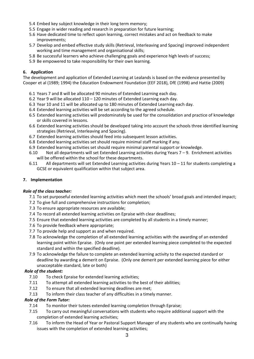- 5.4 Embed key subject knowledge in their long term memory;
- 5.5 Engage in wider reading and research in preparation for future learning;
- 5.6 Have dedicated time to reflect upon learning, correct mistakes and act on feedback to make improvements;
- 5.7 Develop and embed effective study skills (Retrieval, Interleaving and Spacing) improved independent working and time management and organisational skills;
- 5.8 Be successful learners who achieve challenging goals and experience high levels of success;
- 5.9 Be empowered to take responsibility for their own learning.

# **6. Application**

The development and application of Extended Learning at Lealands is based on the evidence presented by Cooper et al (1989; 1994) the Education Endowment Foundation (EEF 2018), DfE (1998) and Hattie (2009)

- 6.1 Years 7 and 8 will be allocated 90 minutes of Extended Learning each day.
- 6.2 Year 9 will be allocated 110 120 minutes of Extended Learning each day.
- 6.3 Year 10 and 11 will be allocated up to 180 minutes of Extended Learning each day.
- 6.4 Extended learning activities will be set according to the agreed schedule.
- 6.5 Extended learning activities will predominately be used for the consolidation and practice of knowledge or skills covered in lessons.
- 6.6 Extended learning activities should be developed taking into account the schools three identified learning strategies (Retrieval, Interleaving and Spacing).
- 6.7 Extended learning activities should feed into subsequent lesson activities.
- 6.8 Extended learning activities set should require minimal staff marking if any.
- 6.9 Extended learning activities set should require minimal parental support or knowledge.
- 6.10 Not all departments will set Extended Learning activities during Years 7 9. Enrichment activities will be offered within the school for these departments.
- 6.11 All departments will set Extended Learning activities during Years 10 11 for students completing a GCSE or equivalent qualification within that subject area.

# **7. Implementation**

## *Role of the class teacher:*

- 7.1 To set purposeful extended learning activities which meet the schools' broad goals and intended impact;
- 7.2 To give full and comprehensive instructions for completion;
- 7.3 To ensure appropriate resources are available;
- 7.4 To record all extended learning activities on Epraise with clear deadlines;
- 7.5 Ensure that extended learning activities are completed by all students in a timely manner;
- 7.6 To provide feedback where appropriate;
- 7.7 To provide help and support as and when required.
- 7.8 To acknowledge the completion of all extended learning activities with the awarding of an extended learning point within Epraise. (Only one point per extended learning piece completed to the expected standard and within the specified deadline).
- 7.9 To acknowledge the failure to complete an extended learning activity to the expected standard or deadline by awarding a demerit on Epraise. (Only one demerit per extended learning piece for either unacceptable standard, late or both)

## *Role of the student:*

- 7.10 To check Epraise for extended learning activities;
- 7.11 To attempt all extended learning activities to the best of their abilities;
- 7.12 To ensure that all extended learning deadlines are met;
- 7.13 To inform their class teacher of any difficulties in a timely manner.

# *Role of the Form Tutor:*

- 7.14 To monitor their tutees extended learning completion through Epraise;
- 7.15 To carry out meaningful conversations with students who require additional support with the completion of extended learning activities;
- 7.16 To inform the Head of Year or Pastoral Support Manager of any students who are continually having issues with the completion of extended learning activities;